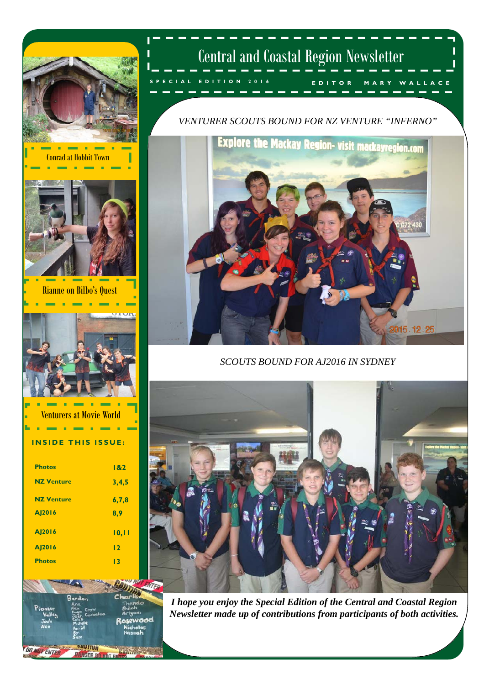

and

**AUTION** 

**DANGER DO NOT F** 

**OT ENTER** 

### Central and Coastal Region Newsletter

**EDITOR MARY WALLACE SPECIAL EDITION 2016** 

#### *VENTURER SCOUTS BOUND FOR NZ VENTURE "INFERNO"*



#### *SCOUTS BOUND FOR AJ2016 IN SYDNEY*



*I hope you enjoy the Special Edition of the Central and Coastal Region Newsletter made up of contributions from participants of both activities.*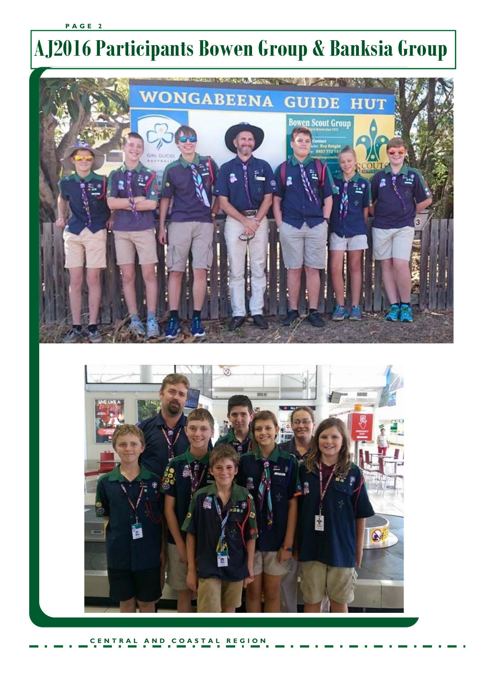#### **CENTRAL AND COASTAL REGION**



# **AJ2016 Participants Bowen Group & Banksia Group**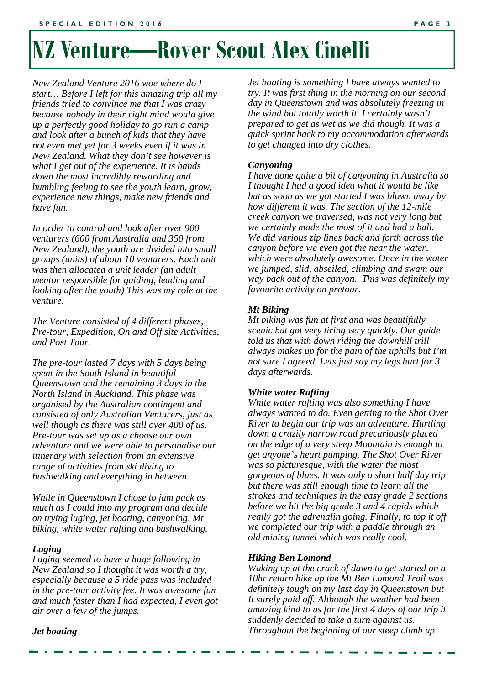### **NZ Venture—Rover Scout Alex Cinelli**

*New Zealand Venture 2016 woe where do I start… Before I left for this amazing trip all my friends tried to convince me that I was crazy because nobody in their right mind would give up a perfectly good holiday to go run a camp and look after a bunch of kids that they have not even met yet for 3 weeks even if it was in New Zealand. What they don't see however is what I get out of the experience. It is hands down the most incredibly rewarding and humbling feeling to see the youth learn, grow, experience new things, make new friends and have fun.* 

*In order to control and look after over 900 venturers (600 from Australia and 350 from New Zealand), the youth are divided into small groups (units) of about 10 venturers. Each unit was then allocated a unit leader (an adult mentor responsible for guiding, leading and looking after the youth) This was my role at the venture.* 

*The Venture consisted of 4 different phases, Pre-tour, Expedition, On and Off site Activities, and Post Tour.* 

*The pre-tour lasted 7 days with 5 days being spent in the South Island in beautiful Queenstown and the remaining 3 days in the North Island in Auckland. This phase was organised by the Australian contingent and consisted of only Australian Venturers, just as well though as there was still over 400 of us. Pre-tour was set up as a choose our own adventure and we were able to personalise our itinerary with selection from an extensive range of activities from ski diving to bushwalking and everything in between.* 

*While in Queenstown I chose to jam pack as much as I could into my program and decide on trying luging, jet boating, canyoning, Mt biking, white water rafting and bushwalking.* 

#### *Luging*

*Luging seemed to have a huge following in New Zealand so I thought it was worth a try, especially because a 5 ride pass was included in the pre-tour activity fee. It was awesome fun and much faster than I had expected, I even got air over a few of the jumps.* 

*Jet boating is something I have always wanted to try. It was first thing in the morning on our second day in Queenstown and was absolutely freezing in the wind but totally worth it. I certainly wasn't prepared to get as wet as we did though. It was a quick sprint back to my accommodation afterwards to get changed into dry clothes.* 

#### *Canyoning*

*I have done quite a bit of canyoning in Australia so I thought I had a good idea what it would be like but as soon as we got started I was blown away by how different it was. The section of the 12-mile creek canyon we traversed, was not very long but we certainly made the most of it and had a ball. We did various zip lines back and forth across the canyon before we even got the near the water, which were absolutely awesome. Once in the water we jumped, slid, abseiled, climbing and swam our way back out of the canyon. This was definitely my favourite activity on pretour.* 

#### *Mt Biking*

*Mt biking was fun at first and was beautifully scenic but got very tiring very quickly. Our guide told us that with down riding the downhill trill always makes up for the pain of the uphills but I'm not sure I agreed. Lets just say my legs hurt for 3 days afterwards.* 

#### *White water Rafting*

*White water rafting was also something I have always wanted to do. Even getting to the Shot Over River to begin our trip was an adventure. Hurtling down a crazily narrow road precariously placed on the edge of a very steep Mountain is enough to get anyone's heart pumping. The Shot Over River was so picturesque, with the water the most gorgeous of blues. It was only a short half day trip but there was still enough time to learn all the strokes and techniques in the easy grade 2 sections before we hit the big grade 3 and 4 rapids which really got the adrenalin going. Finally, to top it off we completed our trip with a paddle through an old mining tunnel which was really cool.* 

#### *Hiking Ben Lomond*

*Waking up at the crack of dawn to get started on a 10hr return hike up the Mt Ben Lomond Trail was definitely tough on my last day in Queenstown but It surely paid off. Although the weather had been amazing kind to us for the first 4 days of our trip it suddenly decided to take a turn against us. Throughout the beginning of our steep climb up* 

*Jet boating*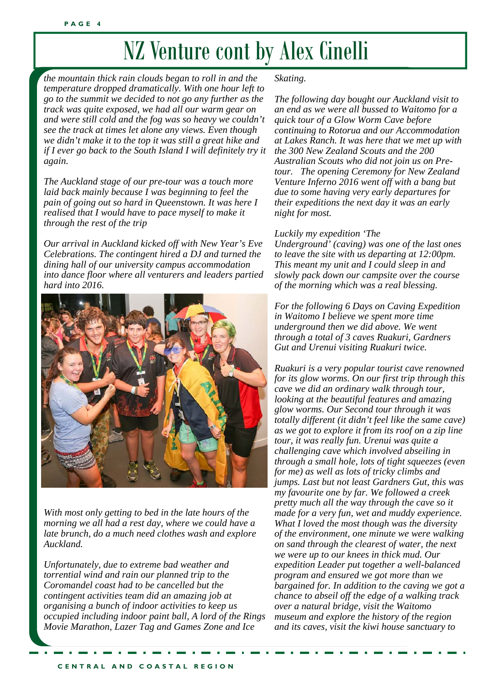### NZ Venture cont by Alex Cinelli

*the mountain thick rain clouds began to roll in and the temperature dropped dramatically. With one hour left to go to the summit we decided to not go any further as the track was quite exposed, we had all our warm gear on and were still cold and the fog was so heavy we couldn't see the track at times let alone any views. Even though we didn't make it to the top it was still a great hike and if I ever go back to the South Island I will definitely try it again.* 

*The Auckland stage of our pre-tour was a touch more laid back mainly because I was beginning to feel the pain of going out so hard in Queenstown. It was here I realised that I would have to pace myself to make it through the rest of the trip* 

*Our arrival in Auckland kicked off with New Year's Eve Celebrations. The contingent hired a DJ and turned the dining hall of our university campus accommodation into dance floor where all venturers and leaders partied hard into 2016.* 



*With most only getting to bed in the late hours of the morning we all had a rest day, where we could have a late brunch, do a much need clothes wash and explore Auckland.* 

*Unfortunately, due to extreme bad weather and torrential wind and rain our planned trip to the Coromandel coast had to be cancelled but the contingent activities team did an amazing job at organising a bunch of indoor activities to keep us occupied including indoor paint ball, A lord of the Rings Movie Marathon, Lazer Tag and Games Zone and Ice* 

#### *Skating.*

*The following day bought our Auckland visit to an end as we were all bussed to Waitomo for a quick tour of a Glow Worm Cave before continuing to Rotorua and our Accommodation at Lakes Ranch. It was here that we met up with the 300 New Zealand Scouts and the 200 Australian Scouts who did not join us on Pretour. The opening Ceremony for New Zealand Venture Inferno 2016 went off with a bang but due to some having very early departures for their expeditions the next day it was an early night for most.* 

#### *Luckily my expedition 'The*

*Underground' (caving) was one of the last ones to leave the site with us departing at 12:00pm. This meant my unit and I could sleep in and slowly pack down our campsite over the course of the morning which was a real blessing.* 

*For the following 6 Days on Caving Expedition in Waitomo I believe we spent more time underground then we did above. We went through a total of 3 caves Ruakuri, Gardners Gut and Urenui visiting Ruakuri twice.* 

*Ruakuri is a very popular tourist cave renowned for its glow worms. On our first trip through this cave we did an ordinary walk through tour, looking at the beautiful features and amazing glow worms. Our Second tour through it was totally different (it didn't feel like the same cave) as we got to explore it from its roof on a zip line tour, it was really fun. Urenui was quite a challenging cave which involved abseiling in through a small hole, lots of tight squeezes (even for me) as well as lots of tricky climbs and jumps. Last but not least Gardners Gut, this was my favourite one by far. We followed a creek pretty much all the way through the cave so it made for a very fun, wet and muddy experience. What I loved the most though was the diversity of the environment, one minute we were walking on sand through the clearest of water, the next we were up to our knees in thick mud. Our expedition Leader put together a well-balanced program and ensured we got more than we bargained for. In addition to the caving we got a chance to abseil off the edge of a walking track over a natural bridge, visit the Waitomo museum and explore the history of the region and its caves, visit the kiwi house sanctuary to*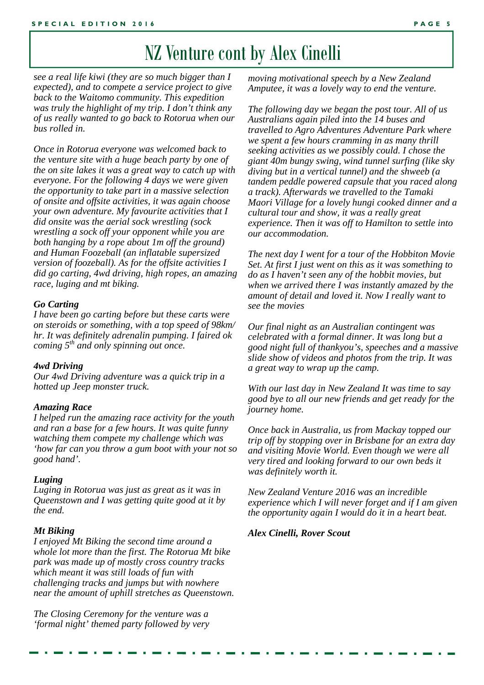### NZ Venture cont by Alex Cinelli

*see a real life kiwi (they are so much bigger than I expected), and to compete a service project to give back to the Waitomo community. This expedition was truly the highlight of my trip. I don't think any of us really wanted to go back to Rotorua when our bus rolled in.* 

*Once in Rotorua everyone was welcomed back to the venture site with a huge beach party by one of the on site lakes it was a great way to catch up with everyone. For the following 4 days we were given the opportunity to take part in a massive selection of onsite and offsite activities, it was again choose your own adventure. My favourite activities that I did onsite was the aerial sock wrestling (sock wrestling a sock off your opponent while you are both hanging by a rope about 1m off the ground) and Human Foozeball (an inflatable supersized version of foozeball). As for the offsite activities I did go carting, 4wd driving, high ropes, an amazing race, luging and mt biking.* 

#### *Go Carting*

*I have been go carting before but these carts were on steroids or something, with a top speed of 98km/ hr. It was definitely adrenalin pumping. I faired ok coming 5th and only spinning out once.* 

#### *4wd Driving*

*Our 4wd Driving adventure was a quick trip in a hotted up Jeep monster truck.* 

#### *Amazing Race*

*I helped run the amazing race activity for the youth and ran a base for a few hours. It was quite funny watching them compete my challenge which was 'how far can you throw a gum boot with your not so good hand'.* 

#### *Luging*

*Luging in Rotorua was just as great as it was in Queenstown and I was getting quite good at it by the end.* 

#### *Mt Biking*

*I enjoyed Mt Biking the second time around a whole lot more than the first. The Rotorua Mt bike park was made up of mostly cross country tracks which meant it was still loads of fun with challenging tracks and jumps but with nowhere near the amount of uphill stretches as Queenstown.* 

*The Closing Ceremony for the venture was a 'formal night' themed party followed by very*  *moving motivational speech by a New Zealand Amputee, it was a lovely way to end the venture.* 

*The following day we began the post tour. All of us Australians again piled into the 14 buses and travelled to Agro Adventures Adventure Park where we spent a few hours cramming in as many thrill seeking activities as we possibly could. I chose the giant 40m bungy swing, wind tunnel surfing (like sky diving but in a vertical tunnel) and the shweeb (a tandem peddle powered capsule that you raced along a track). Afterwards we travelled to the Tamaki Maori Village for a lovely hungi cooked dinner and a cultural tour and show, it was a really great experience. Then it was off to Hamilton to settle into our accommodation.* 

*The next day I went for a tour of the Hobbiton Movie Set. At first I just went on this as it was something to do as I haven't seen any of the hobbit movies, but when we arrived there I was instantly amazed by the amount of detail and loved it. Now I really want to see the movies* 

*Our final night as an Australian contingent was celebrated with a formal dinner. It was long but a good night full of thankyou's, speeches and a massive slide show of videos and photos from the trip. It was a great way to wrap up the camp.* 

*With our last day in New Zealand It was time to say good bye to all our new friends and get ready for the journey home.* 

*Once back in Australia, us from Mackay topped our trip off by stopping over in Brisbane for an extra day and visiting Movie World. Even though we were all very tired and looking forward to our own beds it was definitely worth it.* 

*New Zealand Venture 2016 was an incredible experience which I will never forget and if I am given the opportunity again I would do it in a heart beat.* 

#### *Alex Cinelli, Rover Scout*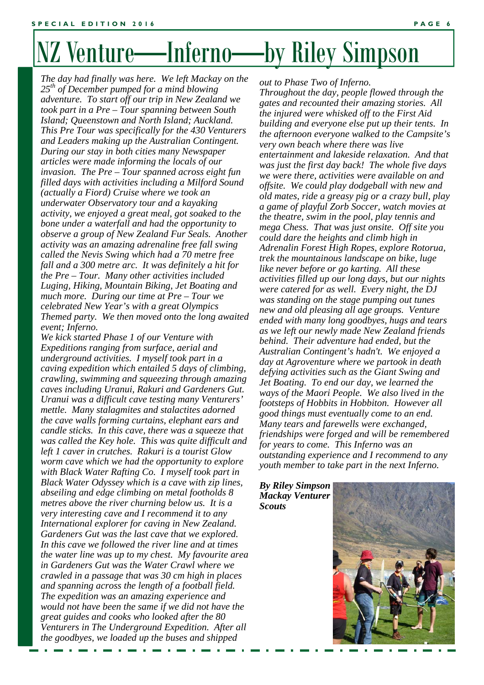# NZ Venture—Inferno—by Riley Simpson

*The day had finally was here. We left Mackay on the 25th of December pumped for a mind blowing adventure. To start off our trip in New Zealand we took part in a Pre – Tour spanning between South Island; Queenstown and North Island; Auckland. This Pre Tour was specifically for the 430 Venturers and Leaders making up the Australian Contingent. During our stay in both cities many Newspaper articles were made informing the locals of our invasion. The Pre – Tour spanned across eight fun filled days with activities including a Milford Sound (actually a Fiord) Cruise where we took an underwater Observatory tour and a kayaking activity, we enjoyed a great meal, got soaked to the bone under a waterfall and had the opportunity to observe a group of New Zealand Fur Seals. Another activity was an amazing adrenaline free fall swing called the Nevis Swing which had a 70 metre free fall and a 300 metre arc. It was definitely a hit for the Pre – Tour. Many other activities included Luging, Hiking, Mountain Biking, Jet Boating and much more. During our time at Pre – Tour we celebrated New Year's with a great Olympics Themed party. We then moved onto the long awaited event; Inferno.* 

*International explorer for caving in New Zealand. We kick started Phase 1 of our Venture with Expeditions ranging from surface, aerial and underground activities. I myself took part in a caving expedition which entailed 5 days of climbing, crawling, swimming and squeezing through amazing caves including Uranui, Rakuri and Gardeners Gut. Uranui was a difficult cave testing many Venturers' mettle. Many stalagmites and stalactites adorned the cave walls forming curtains, elephant ears and candle sticks. In this cave, there was a squeeze that was called the Key hole. This was quite difficult and left 1 caver in crutches. Rakuri is a tourist Glow worm cave which we had the opportunity to explore with Black Water Rafting Co. I myself took part in Black Water Odyssey which is a cave with zip lines, abseiling and edge climbing on metal footholds 8 metres above the river churning below us. It is a very interesting cave and I recommend it to any Gardeners Gut was the last cave that we explored. In this cave we followed the river line and at times the water line was up to my chest. My favourite area in Gardeners Gut was the Water Crawl where we crawled in a passage that was 30 cm high in places and spanning across the length of a football field. The expedition was an amazing experience and would not have been the same if we did not have the great guides and cooks who looked after the 80 Venturers in The Underground Expedition. After all the goodbyes, we loaded up the buses and shipped* 

*out to Phase Two of Inferno.* 

*Throughout the day, people flowed through the gates and recounted their amazing stories. All the injured were whisked off to the First Aid building and everyone else put up their tents. In the afternoon everyone walked to the Campsite's very own beach where there was live entertainment and lakeside relaxation. And that was just the first day back! The whole five days we were there, activities were available on and offsite. We could play dodgeball with new and old mates, ride a greasy pig or a crazy bull, play a game of playful Zorb Soccer, watch movies at the theatre, swim in the pool, play tennis and mega Chess. That was just onsite. Off site you could dare the heights and climb high in Adrenalin Forest High Ropes, explore Rotorua, trek the mountainous landscape on bike, luge like never before or go karting. All these activities filled up our long days, but our nights were catered for as well. Every night, the DJ was standing on the stage pumping out tunes new and old pleasing all age groups. Venture ended with many long goodbyes, hugs and tears as we left our newly made New Zealand friends behind. Their adventure had ended, but the Australian Contingent's hadn't. We enjoyed a day at Agroventure where we partook in death defying activities such as the Giant Swing and Jet Boating. To end our day, we learned the ways of the Maori People. We also lived in the footsteps of Hobbits in Hobbiton. However all good things must eventually come to an end. Many tears and farewells were exchanged, friendships were forged and will be remembered for years to come. This Inferno was an outstanding experience and I recommend to any youth member to take part in the next Inferno.* 

*By Riley Simpson Mackay Venturer Scouts* 

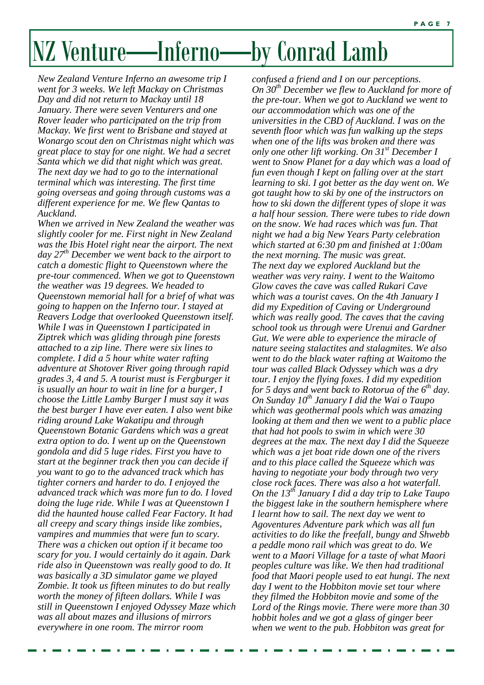# NZ Venture—Inferno—by Conrad Lamb

*New Zealand Venture Inferno an awesome trip I went for 3 weeks. We left Mackay on Christmas Day and did not return to Mackay until 18 January. There were seven Venturers and one Rover leader who participated on the trip from Mackay. We first went to Brisbane and stayed at Wonargo scout den on Christmas night which was great place to stay for one night. We had a secret Santa which we did that night which was great. The next day we had to go to the international terminal which was interesting. The first time going overseas and going through customs was a different experience for me. We flew Qantas to Auckland.* 

*When we arrived in New Zealand the weather was slightly cooler for me. First night in New Zealand was the Ibis Hotel right near the airport. The next day 27th December we went back to the airport to catch a domestic flight to Queenstown where the pre-tour commenced. When we got to Queenstown the weather was 19 degrees. We headed to Queenstown memorial hall for a brief of what was going to happen on the Inferno tour. I stayed at Reavers Lodge that overlooked Queenstown itself. While I was in Queenstown I participated in Ziptrek which was gliding through pine forests attached to a zip line. There were six lines to complete. I did a 5 hour white water rafting adventure at Shotover River going through rapid grades 3, 4 and 5. A tourist must is Fergburger it is usually an hour to wait in line for a burger, I choose the Little Lamby Burger I must say it was the best burger I have ever eaten. I also went bike riding around Lake Wakatipu and through Queenstown Botanic Gardens which was a great extra option to do. I went up on the Queenstown gondola and did 5 luge rides. First you have to start at the beginner track then you can decide if you want to go to the advanced track which has tighter corners and harder to do. I enjoyed the advanced track which was more fun to do. I loved doing the luge ride. While I was at Queenstown I did the haunted house called Fear Factory. It had all creepy and scary things inside like zombies, vampires and mummies that were fun to scary. There was a chicken out option if it became too scary for you. I would certainly do it again. Dark ride also in Queenstown was really good to do. It was basically a 3D simulator game we played Zombie. It took us fifteen minutes to do but really worth the money of fifteen dollars. While I was still in Queenstown I enjoyed Odyssey Maze which was all about mazes and illusions of mirrors everywhere in one room. The mirror room* 

*confused a friend and I on our perceptions. On 30th December we flew to Auckland for more of the pre-tour. When we got to Auckland we went to our accommodation which was one of the universities in the CBD of Auckland. I was on the seventh floor which was fun walking up the steps when one of the lifts was broken and there was only one other lift working. On 31st December I went to Snow Planet for a day which was a load of fun even though I kept on falling over at the start learning to ski. I got better as the day went on. We got taught how to ski by one of the instructors on how to ski down the different types of slope it was a half hour session. There were tubes to ride down on the snow. We had races which was fun. That night we had a big New Years Party celebration which started at 6:30 pm and finished at 1:00am the next morning. The music was great. The next day we explored Auckland but the weather was very rainy. I went to the Waitomo Glow caves the cave was called Rukari Cave which was a tourist caves. On the 4th January I did my Expedition of Caving or Underground which was really good. The caves that the caving school took us through were Urenui and Gardner Gut. We were able to experience the miracle of nature seeing stalactites and stalagmites. We also went to do the black water rafting at Waitomo the tour was called Black Odyssey which was a dry tour. I enjoy the flying foxes. I did my expedition for 5 days and went back to Rotorua of the 6th day. On Sunday 10th January I did the Wai o Taupo which was geothermal pools which was amazing looking at them and then we went to a public place that had hot pools to swim in which were 30 degrees at the max. The next day I did the Squeeze which was a jet boat ride down one of the rivers and to this place called the Squeeze which was having to negotiate your body through two very close rock faces. There was also a hot waterfall. On the 13th January I did a day trip to Lake Taupo the biggest lake in the southern hemisphere where I learnt how to sail. The next day we went to Agoventures Adventure park which was all fun activities to do like the freefall, bungy and Shwebb a peddle mono rail which was great to do. We went to a Maori Village for a taste of what Maori peoples culture was like. We then had traditional food that Maori people used to eat hungi. The next day I went to the Hobbiton movie set tour where they filmed the Hobbiton movie and some of the Lord of the Rings movie. There were more than 30 hobbit holes and we got a glass of ginger beer when we went to the pub. Hobbiton was great for*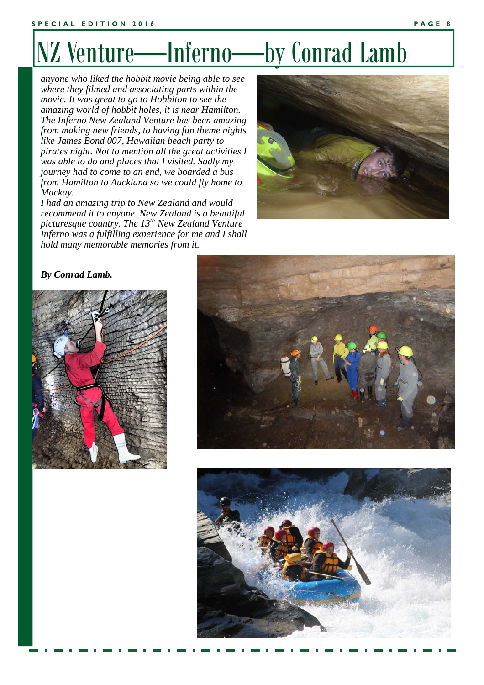# NZ Venture—Inferno—by Conrad Lamb

*anyone who liked the hobbit movie being able to see where they filmed and associating parts within the movie. It was great to go to Hobbiton to see the amazing world of hobbit holes, it is near Hamilton. The Inferno New Zealand Venture has been amazing from making new friends, to having fun theme nights like James Bond 007, Hawaiian beach party to pirates night. Not to mention all the great activities I was able to do and places that I visited. Sadly my journey had to come to an end, we boarded a bus from Hamilton to Auckland so we could fly home to Mackay.* 

*I had an amazing trip to New Zealand and would recommend it to anyone. New Zealand is a beautiful picturesque country. The 13th New Zealand Venture Inferno was a fulfilling experience for me and I shall hold many memorable memories from it.* 



#### *By Conrad Lamb.*





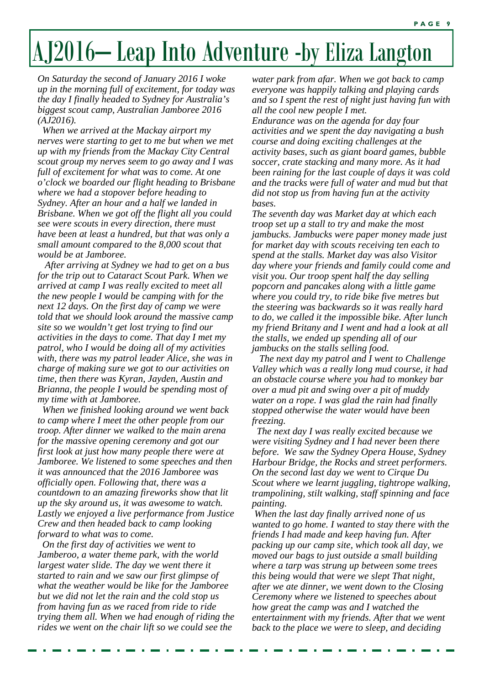# AJ2016– Leap Into Adventure -by Eliza Langton

*On Saturday the second of January 2016 I woke up in the morning full of excitement, for today was the day I finally headed to Sydney for Australia's biggest scout camp, Australian Jamboree 2016 (AJ2016).* 

 *When we arrived at the Mackay airport my nerves were starting to get to me but when we met up with my friends from the Mackay City Central scout group my nerves seem to go away and I was full of excitement for what was to come. At one o'clock we boarded our flight heading to Brisbane where we had a stopover before heading to Sydney. After an hour and a half we landed in Brisbane. When we got off the flight all you could see were scouts in every direction, there must have been at least a hundred, but that was only a small amount compared to the 8,000 scout that would be at Jamboree.* 

 *After arriving at Sydney we had to get on a bus for the trip out to Cataract Scout Park. When we arrived at camp I was really excited to meet all the new people I would be camping with for the next 12 days. On the first day of camp we were told that we should look around the massive camp site so we wouldn't get lost trying to find our activities in the days to come. That day I met my patrol, who I would be doing all of my activities with, there was my patrol leader Alice, she was in charge of making sure we got to our activities on time, then there was Kyran, Jayden, Austin and Brianna, the people I would be spending most of my time with at Jamboree.* 

 *When we finished looking around we went back to camp where I meet the other people from our troop. After dinner we walked to the main arena for the massive opening ceremony and got our first look at just how many people there were at Jamboree. We listened to some speeches and then it was announced that the 2016 Jamboree was officially open. Following that, there was a countdown to an amazing fireworks show that lit up the sky around us, it was awesome to watch. Lastly we enjoyed a live performance from Justice Crew and then headed back to camp looking forward to what was to come.* 

 *On the first day of activities we went to Jamberoo, a water theme park, with the world largest water slide. The day we went there it started to rain and we saw our first glimpse of what the weather would be like for the Jamboree but we did not let the rain and the cold stop us from having fun as we raced from ride to ride trying them all. When we had enough of riding the rides we went on the chair lift so we could see the* 

*water park from afar. When we got back to camp everyone was happily talking and playing cards and so I spent the rest of night just having fun with all the cool new people I met.* 

*Endurance was on the agenda for day four activities and we spent the day navigating a bush course and doing exciting challenges at the activity bases, such as giant board games, bubble soccer, crate stacking and many more. As it had been raining for the last couple of days it was cold and the tracks were full of water and mud but that did not stop us from having fun at the activity bases.* 

*The seventh day was Market day at which each troop set up a stall to try and make the most jambucks. Jambucks were paper money made just for market day with scouts receiving ten each to spend at the stalls. Market day was also Visitor day where your friends and family could come and visit you. Our troop spent half the day selling popcorn and pancakes along with a little game where you could try, to ride bike five metres but the steering was backwards so it was really hard to do, we called it the impossible bike. After lunch my friend Britany and I went and had a look at all the stalls, we ended up spending all of our jambucks on the stalls selling food.* 

 *The next day my patrol and I went to Challenge Valley which was a really long mud course, it had an obstacle course where you had to monkey bar over a mud pit and swing over a pit of muddy water on a rope. I was glad the rain had finally stopped otherwise the water would have been freezing.* 

 *The next day I was really excited because we were visiting Sydney and I had never been there before. We saw the Sydney Opera House, Sydney Harbour Bridge, the Rocks and street performers. On the second last day we went to Cirque Du Scout where we learnt juggling, tightrope walking, trampolining, stilt walking, staff spinning and face painting.* 

 *When the last day finally arrived none of us wanted to go home. I wanted to stay there with the friends I had made and keep having fun. After packing up our camp site, which took all day, we moved our bags to just outside a small building where a tarp was strung up between some trees this being would that were we slept That night, after we ate dinner, we went down to the Closing Ceremony where we listened to speeches about how great the camp was and I watched the entertainment with my friends. After that we went back to the place we were to sleep, and deciding*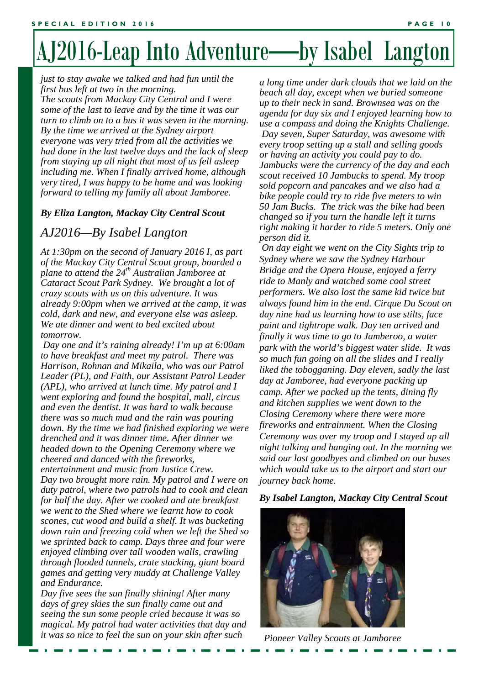# AJ2016-Leap Into Adventure—by Isabel Langton

*just to stay awake we talked and had fun until the first bus left at two in the morning. The scouts from Mackay City Central and I were some of the last to leave and by the time it was our turn to climb on to a bus it was seven in the morning. By the time we arrived at the Sydney airport everyone was very tried from all the activities we had done in the last twelve days and the lack of sleep from staying up all night that most of us fell asleep including me. When I finally arrived home, although very tired, I was happy to be home and was looking forward to telling my family all about Jamboree.* 

#### *By Eliza Langton, Mackay City Central Scout*

#### *AJ2016—By Isabel Langton*

*At 1:30pm on the second of January 2016 I, as part of the Mackay City Central Scout group, boarded a plane to attend the 24th Australian Jamboree at Cataract Scout Park Sydney. We brought a lot of crazy scouts with us on this adventure. It was already 9:00pm when we arrived at the camp, it was cold, dark and new, and everyone else was asleep. We ate dinner and went to bed excited about tomorrow.* 

*Scones, cut wood and build a shelf. It was bucketing Day one and it's raining already! I'm up at 6:00am to have breakfast and meet my patrol. There was Harrison, Rohnan and Mikaila, who was our Patrol Leader (PL), and Faith, our Assistant Patrol Leader (APL), who arrived at lunch time. My patrol and I went exploring and found the hospital, mall, circus and even the dentist. It was hard to walk because there was so much mud and the rain was pouring down. By the time we had finished exploring we were drenched and it was dinner time. After dinner we headed down to the Opening Ceremony where we cheered and danced with the fireworks, entertainment and music from Justice Crew. Day two brought more rain. My patrol and I were on duty patrol, where two patrols had to cook and clean for half the day. After we cooked and ate breakfast we went to the Shed where we learnt how to cook down rain and freezing cold when we left the Shed so we sprinted back to camp. Days three and four were enjoyed climbing over tall wooden walls, crawling through flooded tunnels, crate stacking, giant board games and getting very muddy at Challenge Valley and Endurance.* 

*Day five sees the sun finally shining! After many days of grey skies the sun finally came out and seeing the sun some people cried because it was so magical. My patrol had water activities that day and it was so nice to feel the sun on your skin after such* 

*a long time under dark clouds that we laid on the beach all day, except when we buried someone up to their neck in sand. Brownsea was on the agenda for day six and I enjoyed learning how to use a compass and doing the Knights Challenge. Day seven, Super Saturday, was awesome with every troop setting up a stall and selling goods or having an activity you could pay to do. Jambucks were the currency of the day and each scout received 10 Jambucks to spend. My troop sold popcorn and pancakes and we also had a bike people could try to ride five meters to win 50 Jam Bucks. The trick was the bike had been changed so if you turn the handle left it turns right making it harder to ride 5 meters. Only one person did it.* 

 *On day eight we went on the City Sights trip to Sydney where we saw the Sydney Harbour Bridge and the Opera House, enjoyed a ferry ride to Manly and watched some cool street performers. We also lost the same kid twice but always found him in the end. Cirque Du Scout on day nine had us learning how to use stilts, face paint and tightrope walk. Day ten arrived and finally it was time to go to Jamberoo, a water park with the world's biggest water slide. It was so much fun going on all the slides and I really liked the tobogganing. Day eleven, sadly the last day at Jamboree, had everyone packing up camp. After we packed up the tents, dining fly and kitchen supplies we went down to the Closing Ceremony where there were more fireworks and entrainment. When the Closing Ceremony was over my troop and I stayed up all night talking and hanging out. In the morning we said our last goodbyes and climbed on our buses which would take us to the airport and start our journey back home.* 

*By Isabel Langton, Mackay City Central Scout* 



*Pioneer Valley Scouts at Jamboree*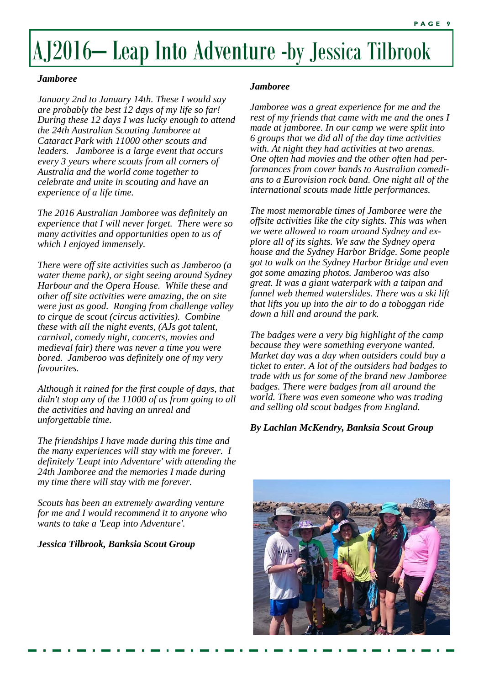# AJ2016– Leap Into Adventure -by Jessica Tilbrook

#### *Jamboree*

*January 2nd to January 14th. These I would say are probably the best 12 days of my life so far! During these 12 days I was lucky enough to attend the 24th Australian Scouting Jamboree at Cataract Park with 11000 other scouts and leaders. Jamboree is a large event that occurs every 3 years where scouts from all corners of Australia and the world come together to celebrate and unite in scouting and have an experience of a life time.* 

*The 2016 Australian Jamboree was definitely an experience that I will never forget. There were so many activities and opportunities open to us of which I enjoyed immensely.* 

*There were off site activities such as Jamberoo (a water theme park), or sight seeing around Sydney Harbour and the Opera House. While these and other off site activities were amazing, the on site were just as good. Ranging from challenge valley to cirque de scout (circus activities). Combine these with all the night events, (AJs got talent, carnival, comedy night, concerts, movies and medieval fair) there was never a time you were bored. Jamberoo was definitely one of my very favourites.* 

*Although it rained for the first couple of days, that didn't stop any of the 11000 of us from going to all the activities and having an unreal and unforgettable time.* 

*The friendships I have made during this time and the many experiences will stay with me forever. I definitely 'Leapt into Adventure' with attending the 24th Jamboree and the memories I made during my time there will stay with me forever.* 

*Scouts has been an extremely awarding venture for me and I would recommend it to anyone who wants to take a 'Leap into Adventure'.* 

#### *Jessica Tilbrook, Banksia Scout Group*

#### *Jamboree*

*Jamboree was a great experience for me and the rest of my friends that came with me and the ones I made at jamboree. In our camp we were split into 6 groups that we did all of the day time activities with. At night they had activities at two arenas. One often had movies and the other often had performances from cover bands to Australian comedians to a Eurovision rock band. One night all of the international scouts made little performances.* 

*The most memorable times of Jamboree were the offsite activities like the city sights. This was when we were allowed to roam around Sydney and explore all of its sights. We saw the Sydney opera house and the Sydney Harbor Bridge. Some people got to walk on the Sydney Harbor Bridge and even got some amazing photos. Jamberoo was also great. It was a giant waterpark with a taipan and funnel web themed waterslides. There was a ski lift that lifts you up into the air to do a toboggan ride down a hill and around the park.* 

*The badges were a very big highlight of the camp because they were something everyone wanted. Market day was a day when outsiders could buy a ticket to enter. A lot of the outsiders had badges to trade with us for some of the brand new Jamboree badges. There were badges from all around the world. There was even someone who was trading and selling old scout badges from England.* 

#### *By Lachlan McKendry, Banksia Scout Group*

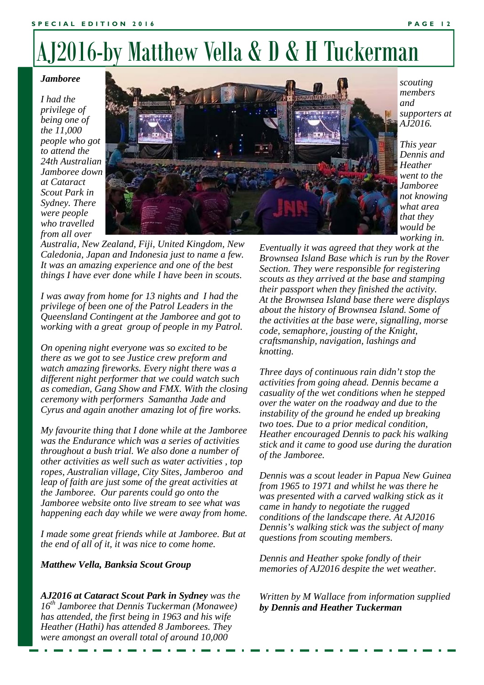### AJ2016-by Matthew Vella & D & H Tuckerman

#### *Jamboree*

*I had the privilege of being one of the 11,000 people who got to attend the 24th Australian Jamboree down at Cataract Scout Park in Sydney. There were people who travelled from all over* 



*Australia, New Zealand, Fiji, United Kingdom, New Caledonia, Japan and Indonesia just to name a few. It was an amazing experience and one of the best things I have ever done while I have been in scouts.* 

*I was away from home for 13 nights and I had the privilege of been one of the Patrol Leaders in the Queensland Contingent at the Jamboree and got to working with a great group of people in my Patrol.* 

*On opening night everyone was so excited to be there as we got to see Justice crew preform and watch amazing fireworks. Every night there was a different night performer that we could watch such as comedian, Gang Show and FMX. With the closing ceremony with performers Samantha Jade and Cyrus and again another amazing lot of fire works.* 

*Telling Jokes happening each day while we were away from home. My favourite thing that I done while at the Jamboree was the Endurance which was a series of activities throughout a bush trial. We also done a number of other activities as well such as water activities , top ropes, Australian village, City Sites, Jamberoo and leap of faith are just some of the great activities at the Jamboree. Our parents could go onto the Jamboree website onto live stream to see what was* 

*I made some great friends while at Jamboree. But at the end of all of it, it was nice to come home.* 

#### *Matthew Vella, Banksia Scout Group*

*AJ2016 at Cataract Scout Park in Sydney was the 16th Jamboree that Dennis Tuckerman (Monawee) has attended, the first being in 1963 and his wife Heather (Hathi) has attended 8 Jamborees. They were amongst an overall total of around 10,000* 

*scouting members and supporters at AJ2016.* 

*This year Dennis and Heather went to the Jamboree not knowing what area that they would be working in.* 

*Eventually it was agreed that they work at the Brownsea Island Base which is run by the Rover Section. They were responsible for registering scouts as they arrived at the base and stamping their passport when they finished the activity. At the Brownsea Island base there were displays about the history of Brownsea Island. Some of the activities at the base were, signalling, morse code, semaphore, jousting of the Knight, craftsmanship, navigation, lashings and knotting.* 

*Three days of continuous rain didn't stop the activities from going ahead. Dennis became a casuality of the wet conditions when he stepped over the water on the roadway and due to the instability of the ground he ended up breaking two toes. Due to a prior medical condition, Heather encouraged Dennis to pack his walking stick and it came to good use during the duration of the Jamboree.* 

*Dennis was a scout leader in Papua New Guinea from 1965 to 1971 and whilst he was there he was presented with a carved walking stick as it came in handy to negotiate the rugged conditions of the landscape there. At AJ2016 Dennis's walking stick was the subject of many questions from scouting members.* 

*Dennis and Heather spoke fondly of their memories of AJ2016 despite the wet weather.* 

*Written by M Wallace from information supplied by Dennis and Heather Tuckerman*